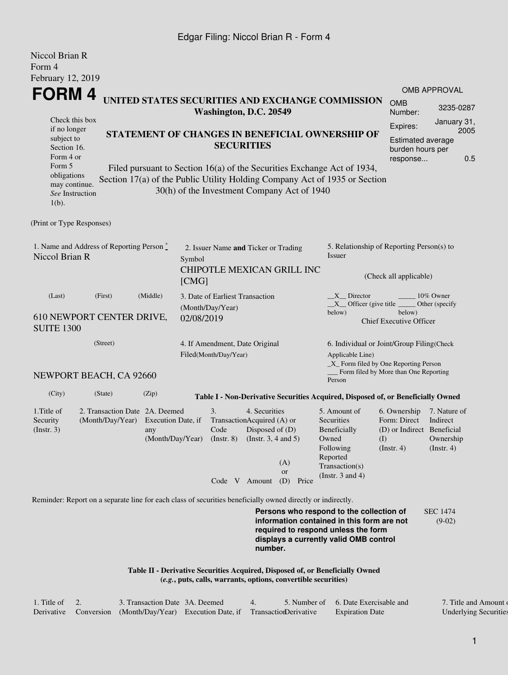## Edgar Filing: Niccol Brian R - Form 4

| Niccol Brian R<br>Form 4                                                                                                                                                                                                                                                      |                                                                                                             |           |                                                         |                                                               |                                                                                       |                                                                                                                                                    |                                                                                                                                                                         |                                                                                       |                                                                 |      |  |  |
|-------------------------------------------------------------------------------------------------------------------------------------------------------------------------------------------------------------------------------------------------------------------------------|-------------------------------------------------------------------------------------------------------------|-----------|---------------------------------------------------------|---------------------------------------------------------------|---------------------------------------------------------------------------------------|----------------------------------------------------------------------------------------------------------------------------------------------------|-------------------------------------------------------------------------------------------------------------------------------------------------------------------------|---------------------------------------------------------------------------------------|-----------------------------------------------------------------|------|--|--|
| February 12, 2019                                                                                                                                                                                                                                                             |                                                                                                             |           |                                                         |                                                               |                                                                                       |                                                                                                                                                    |                                                                                                                                                                         |                                                                                       |                                                                 |      |  |  |
| <b>FORM4</b>                                                                                                                                                                                                                                                                  |                                                                                                             |           |                                                         |                                                               |                                                                                       |                                                                                                                                                    | UNITED STATES SECURITIES AND EXCHANGE COMMISSION                                                                                                                        |                                                                                       | OMB APPROVAL                                                    |      |  |  |
|                                                                                                                                                                                                                                                                               | <b>OMB</b><br>Number:                                                                                       | 3235-0287 |                                                         |                                                               |                                                                                       |                                                                                                                                                    |                                                                                                                                                                         |                                                                                       |                                                                 |      |  |  |
| Check this box<br>if no longer                                                                                                                                                                                                                                                |                                                                                                             |           |                                                         |                                                               |                                                                                       |                                                                                                                                                    |                                                                                                                                                                         |                                                                                       | January 31,                                                     | 2005 |  |  |
| STATEMENT OF CHANGES IN BENEFICIAL OWNERSHIP OF<br>subject to<br><b>SECURITIES</b><br>Section 16.<br>Form 4 or                                                                                                                                                                |                                                                                                             |           |                                                         |                                                               |                                                                                       |                                                                                                                                                    |                                                                                                                                                                         |                                                                                       | <b>Estimated average</b><br>burden hours per<br>0.5<br>response |      |  |  |
| Form 5<br>Filed pursuant to Section 16(a) of the Securities Exchange Act of 1934,<br>obligations<br>Section 17(a) of the Public Utility Holding Company Act of 1935 or Section<br>may continue.<br>30(h) of the Investment Company Act of 1940<br>See Instruction<br>$1(b)$ . |                                                                                                             |           |                                                         |                                                               |                                                                                       |                                                                                                                                                    |                                                                                                                                                                         |                                                                                       |                                                                 |      |  |  |
| (Print or Type Responses)                                                                                                                                                                                                                                                     |                                                                                                             |           |                                                         |                                                               |                                                                                       |                                                                                                                                                    |                                                                                                                                                                         |                                                                                       |                                                                 |      |  |  |
| 1. Name and Address of Reporting Person *<br>Niccol Brian R                                                                                                                                                                                                                   |                                                                                                             | Symbol    | 2. Issuer Name and Ticker or Trading                    |                                                               |                                                                                       | 5. Relationship of Reporting Person(s) to<br>Issuer                                                                                                |                                                                                                                                                                         |                                                                                       |                                                                 |      |  |  |
|                                                                                                                                                                                                                                                                               |                                                                                                             |           | [CMG]                                                   |                                                               |                                                                                       | CHIPOTLE MEXICAN GRILL INC                                                                                                                         | (Check all applicable)                                                                                                                                                  |                                                                                       |                                                                 |      |  |  |
| (Last)                                                                                                                                                                                                                                                                        | (Middle)                                                                                                    |           | 3. Date of Earliest Transaction<br>(Month/Day/Year)     |                                                               |                                                                                       | X Director<br>10% Owner<br>$X$ Officer (give title $\_\_\_\$ Other (specify<br>below)<br>below)                                                    |                                                                                                                                                                         |                                                                                       |                                                                 |      |  |  |
| <b>SUITE 1300</b>                                                                                                                                                                                                                                                             | 610 NEWPORT CENTER DRIVE,                                                                                   |           | 02/08/2019                                              |                                                               |                                                                                       |                                                                                                                                                    | <b>Chief Executive Officer</b>                                                                                                                                          |                                                                                       |                                                                 |      |  |  |
|                                                                                                                                                                                                                                                                               | (Street)                                                                                                    |           | 4. If Amendment, Date Original<br>Filed(Month/Day/Year) |                                                               |                                                                                       | 6. Individual or Joint/Group Filing(Check<br>Applicable Line)<br>$\_X$ Form filed by One Reporting Person<br>Form filed by More than One Reporting |                                                                                                                                                                         |                                                                                       |                                                                 |      |  |  |
|                                                                                                                                                                                                                                                                               | NEWPORT BEACH, CA 92660                                                                                     |           |                                                         |                                                               |                                                                                       |                                                                                                                                                    | Person                                                                                                                                                                  |                                                                                       |                                                                 |      |  |  |
| (City)                                                                                                                                                                                                                                                                        | (State)                                                                                                     | (Zip)     |                                                         |                                                               |                                                                                       |                                                                                                                                                    | Table I - Non-Derivative Securities Acquired, Disposed of, or Beneficially Owned                                                                                        |                                                                                       |                                                                 |      |  |  |
| 1. Title of<br>Security<br>$($ Instr. 3 $)$                                                                                                                                                                                                                                   | 2. Transaction Date 2A. Deemed<br>(Month/Day/Year) Execution Date, if                                       | any       |                                                         | 3.<br>Code<br>(Month/Day/Year) (Instr. 8) (Instr. 3, 4 and 5) | 4. Securities<br>TransactionAcquired (A) or<br>Disposed of (D)<br>Code $V$ Amount (D) | (A)<br><sub>or</sub><br>Price                                                                                                                      | 5. Amount of<br>Securities<br>Beneficially<br>Owned<br>Following<br>Reported<br>Transaction(s)<br>(Instr. $3$ and $4$ )                                                 | 6. Ownership<br>Form: Direct<br>(D) or Indirect Beneficial<br>(1)<br>$($ Instr. 4 $)$ | 7. Nature of<br>Indirect<br>Ownership<br>(Insert. 4)            |      |  |  |
|                                                                                                                                                                                                                                                                               | Reminder: Report on a separate line for each class of securities beneficially owned directly or indirectly. |           |                                                         |                                                               |                                                                                       |                                                                                                                                                    |                                                                                                                                                                         |                                                                                       |                                                                 |      |  |  |
|                                                                                                                                                                                                                                                                               |                                                                                                             |           |                                                         |                                                               | number.                                                                               |                                                                                                                                                    | Persons who respond to the collection of<br>information contained in this form are not<br>required to respond unless the form<br>displays a currently valid OMB control |                                                                                       | <b>SEC 1474</b><br>$(9-02)$                                     |      |  |  |
|                                                                                                                                                                                                                                                                               |                                                                                                             |           |                                                         |                                                               |                                                                                       | (e.g., puts, calls, warrants, options, convertible securities)                                                                                     | Table II - Derivative Securities Acquired, Disposed of, or Beneficially Owned                                                                                           |                                                                                       |                                                                 |      |  |  |

| 1. Title of | 3. Transaction Date 3A. Deemed                                                   |  | 5. Number of 6. Date Exercisable and | 7. Title and Amount de       |
|-------------|----------------------------------------------------------------------------------|--|--------------------------------------|------------------------------|
|             | Derivative Conversion (Month/Day/Year) Execution Date, if Transaction Derivative |  | <b>Expiration Date</b>               | <b>Underlying Securities</b> |

1